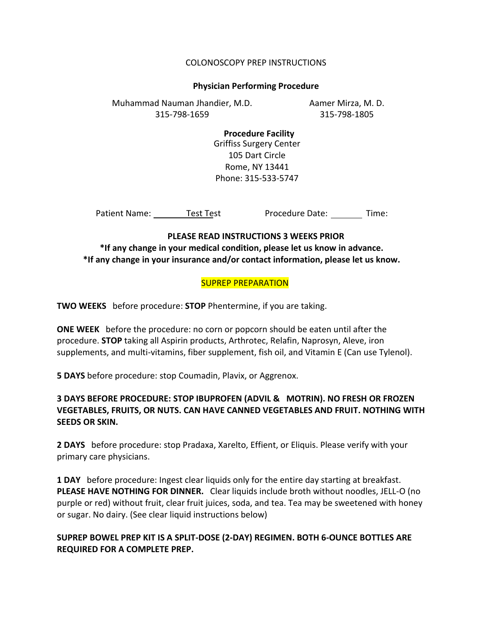### COLONOSCOPY PREP INSTRUCTIONS

#### **Physician Performing Procedure**

Aamer Mirza, M. D. 315-798-1805 Muhammad Nauman Jhandier, M.D. 315-798-1659

> **Procedure Facility** Griffiss Surgery Center 105 Dart Circle Rome, NY 13441 Phone: 315-533-5747

Patient Name: Test Test

Procedure Date: Time:

#### **PLEASE READ INSTRUCTIONS 3 WEEKS PRIOR**

**\*If any change in your medical condition, please let us know in advance. \*If any change in your insurance and/or contact information, please let us know.**

## SUPREP PREPARATION

**TWO WEEKS** before procedure: **STOP** Phentermine, if you are taking.

**ONE WEEK** before the procedure: no corn or popcorn should be eaten until after the procedure. **STOP** taking all Aspirin products, Arthrotec, Relafin, Naprosyn, Aleve, iron supplements, and multi-vitamins, fiber supplement, fish oil, and Vitamin E (Can use Tylenol).

**5 DAYS** before procedure: stop Coumadin, Plavix, or Aggrenox.

# **3 DAYS BEFORE PROCEDURE: STOP IBUPROFEN (ADVIL & MOTRIN). NO FRESH OR FROZEN VEGETABLES, FRUITS, OR NUTS. CAN HAVE CANNED VEGETABLES AND FRUIT. NOTHING WITH SEEDS OR SKIN.**

**2 DAYS** before procedure: stop Pradaxa, Xarelto, Effient, or Eliquis. Please verify with your primary care physicians.

**1 DAY** before procedure: Ingest clear liquids only for the entire day starting at breakfast. **PLEASE HAVE NOTHING FOR DINNER.** Clear liquids include broth without noodles, JELL-O (no purple or red) without fruit, clear fruit juices, soda, and tea. Tea may be sweetened with honey or sugar. No dairy. (See clear liquid instructions below)

# **SUPREP BOWEL PREP KIT IS A SPLIT-DOSE (2-DAY) REGIMEN. BOTH 6-OUNCE BOTTLES ARE REQUIRED FOR A COMPLETE PREP.**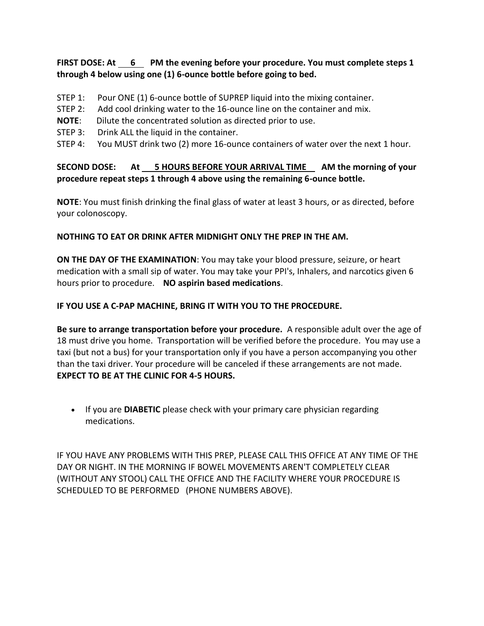# **FIRST DOSE: At 6 PM the evening before your procedure. You must complete steps 1 through 4 below using one (1) 6-ounce bottle before going to bed.**

- STEP 1: Pour ONE (1) 6-ounce bottle of SUPREP liquid into the mixing container.
- STEP 2: Add cool drinking water to the 16-ounce line on the container and mix.
- **NOTE**: Dilute the concentrated solution as directed prior to use.
- STEP 3: Drink ALL the liquid in the container.
- STEP 4: You MUST drink two (2) more 16-ounce containers of water over the next 1 hour.

# **SECOND DOSE: At 5 HOURS BEFORE YOUR ARRIVAL TIME AM the morning of your procedure repeat steps 1 through 4 above using the remaining 6-ounce bottle.**

**NOTE**: You must finish drinking the final glass of water at least 3 hours, or as directed, before your colonoscopy.

## **NOTHING TO EAT OR DRINK AFTER MIDNIGHT ONLY THE PREP IN THE AM.**

**ON THE DAY OF THE EXAMINATION**: You may take your blood pressure, seizure, or heart medication with a small sip of water. You may take your PPI's, Inhalers, and narcotics given 6 hours prior to procedure. **NO aspirin based medications**.

## **IF YOU USE A C-PAP MACHINE, BRING IT WITH YOU TO THE PROCEDURE.**

**Be sure to arrange transportation before your procedure.** A responsible adult over the age of 18 must drive you home. Transportation will be verified before the procedure. You may use a taxi (but not a bus) for your transportation only if you have a person accompanying you other than the taxi driver. Your procedure will be canceled if these arrangements are not made. **EXPECT TO BE AT THE CLINIC FOR 4-5 HOURS.**

 If you are **DIABETIC** please check with your primary care physician regarding medications.

IF YOU HAVE ANY PROBLEMS WITH THIS PREP, PLEASE CALL THIS OFFICE AT ANY TIME OF THE DAY OR NIGHT. IN THE MORNING IF BOWEL MOVEMENTS AREN'T COMPLETELY CLEAR (WITHOUT ANY STOOL) CALL THE OFFICE AND THE FACILITY WHERE YOUR PROCEDURE IS SCHEDULED TO BE PERFORMED (PHONE NUMBERS ABOVE).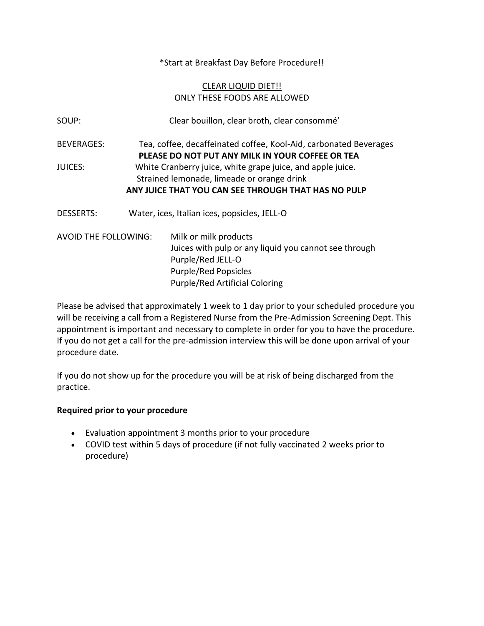\*Start at Breakfast Day Before Procedure!!

# CLEAR LIQUID DIET!! ONLY THESE FOODS ARE ALLOWED

| SOUP:                | Clear bouillon, clear broth, clear consommé'                                                                                                                    |
|----------------------|-----------------------------------------------------------------------------------------------------------------------------------------------------------------|
| <b>BEVERAGES:</b>    | Tea, coffee, decaffeinated coffee, Kool-Aid, carbonated Beverages<br>PLEASE DO NOT PUT ANY MILK IN YOUR COFFEE OR TEA                                           |
| <b>JUICES:</b>       | White Cranberry juice, white grape juice, and apple juice.<br>Strained lemonade, limeade or orange drink<br>ANY JUICE THAT YOU CAN SEE THROUGH THAT HAS NO PULP |
| <b>DESSERTS:</b>     | Water, ices, Italian ices, popsicles, JELL-O                                                                                                                    |
| AVOID THE FOLLOWING: | Milk or milk products<br>Juices with pulp or any liquid you cannot see through<br>Purple/Red JELL-O<br><b>Purple/Red Popsicles</b>                              |

Please be advised that approximately 1 week to 1 day prior to your scheduled procedure you will be receiving a call from a Registered Nurse from the Pre-Admission Screening Dept. This appointment is important and necessary to complete in order for you to have the procedure. If you do not get a call for the pre-admission interview this will be done upon arrival of your procedure date.

Purple/Red Artificial Coloring

If you do not show up for the procedure you will be at risk of being discharged from the practice.

# **Required prior to your procedure**

- Evaluation appointment 3 months prior to your procedure
- COVID test within 5 days of procedure (if not fully vaccinated 2 weeks prior to procedure)